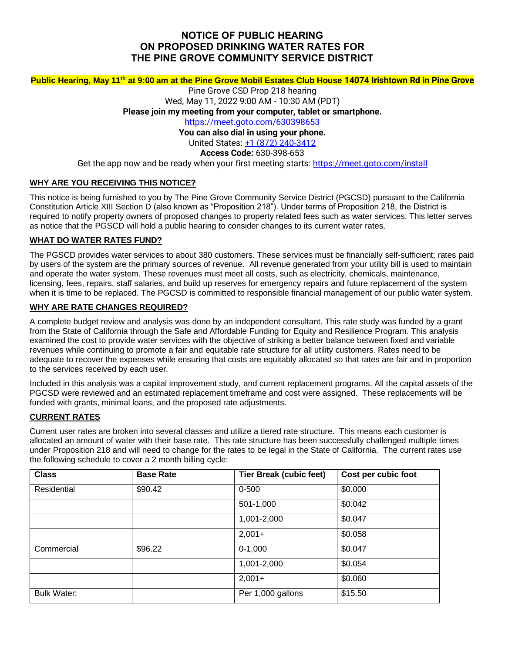# **NOTICE OF PUBLIC HEARING ON PROPOSED DRINKING WATER RATES FOR THE PINE GROVE COMMUNITY SERVICE DISTRICT**

### **Public Hearing, May 11 th at 9:00 am at the Pine Grove Mobil Estates Club House 14074 Irishtown Rd in Pine Grove**

Pine Grove CSD Prop 218 hearing Wed, May 11, 2022 9:00 AM - 10:30 AM (PDT) **Please join my meeting from your computer, tablet or smartphone.** <https://meet.goto.com/630398653> **You can also dial in using your phone.** United States: [+1 \(872\) 240-3412](tel:+18722403412,,630398653) **Access Code:** 630-398-653

Get the app now and be ready when your first meeting starts: <https://meet.goto.com/install>

#### **WHY ARE YOU RECEIVING THIS NOTICE?**

This notice is being furnished to you by The Pine Grove Community Service District (PGCSD) pursuant to the California Constitution Article XIII Section D (also known as "Proposition 218"). Under terms of Proposition 218, the District is required to notify property owners of proposed changes to property related fees such as water services. This letter serves as notice that the PGSCD will hold a public hearing to consider changes to its current water rates.

### **WHAT DO WATER RATES FUND?**

The PGSCD provides water services to about 380 customers. These services must be financially self-sufficient; rates paid by users of the system are the primary sources of revenue. All revenue generated from your utility bill is used to maintain and operate the water system. These revenues must meet all costs, such as electricity, chemicals, maintenance, licensing, fees, repairs, staff salaries, and build up reserves for emergency repairs and future replacement of the system when it is time to be replaced. The PGCSD is committed to responsible financial management of our public water system.

#### **WHY ARE RATE CHANGES REQUIRED?**

A complete budget review and analysis was done by an independent consultant. This rate study was funded by a grant from the State of California through the Safe and Affordable Funding for Equity and Resilience Program. This analysis examined the cost to provide water services with the objective of striking a better balance between fixed and variable revenues while continuing to promote a fair and equitable rate structure for all utility customers. Rates need to be adequate to recover the expenses while ensuring that costs are equitably allocated so that rates are fair and in proportion to the services received by each user.

Included in this analysis was a capital improvement study, and current replacement programs. All the capital assets of the PGCSD were reviewed and an estimated replacement timeframe and cost were assigned. These replacements will be funded with grants, minimal loans, and the proposed rate adjustments.

## **CURRENT RATES**

Current user rates are broken into several classes and utilize a tiered rate structure. This means each customer is allocated an amount of water with their base rate. This rate structure has been successfully challenged multiple times under Proposition 218 and will need to change for the rates to be legal in the State of California. The current rates use the following schedule to cover a 2 month billing cycle:

| <b>Class</b>       | <b>Base Rate</b> | <b>Tier Break (cubic feet)</b> | Cost per cubic foot |
|--------------------|------------------|--------------------------------|---------------------|
| Residential        | \$90.42          | $0 - 500$                      | \$0.000             |
|                    |                  | 501-1,000                      | \$0.042             |
|                    |                  | 1,001-2,000                    | \$0.047             |
|                    |                  | $2,001+$                       | \$0.058             |
| Commercial         | \$96.22          | $0-1,000$                      | \$0.047             |
|                    |                  | 1,001-2,000                    | \$0.054             |
|                    |                  | $2,001+$                       | \$0.060             |
| <b>Bulk Water:</b> |                  | Per 1,000 gallons              | \$15.50             |